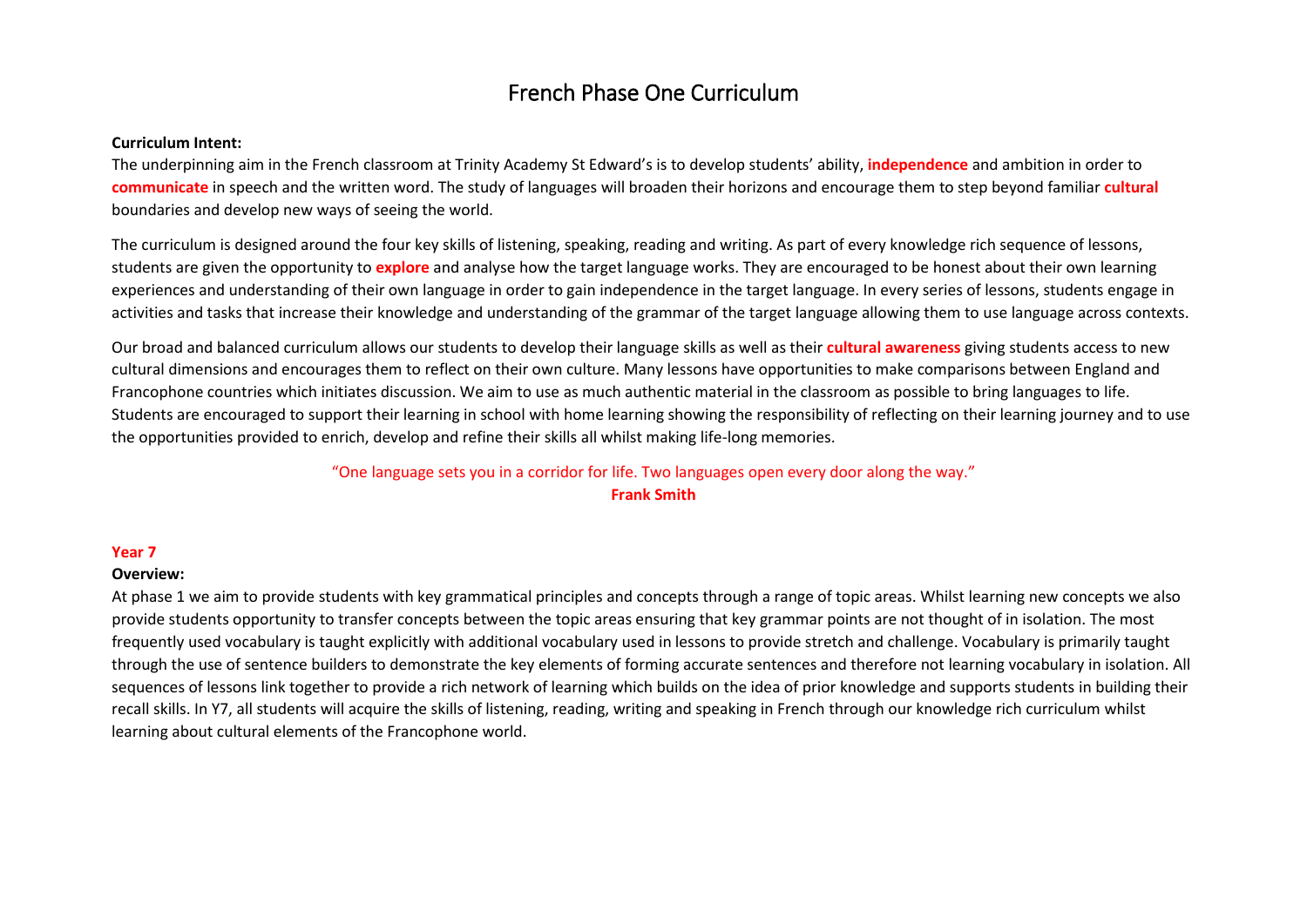# French Phase One Curriculum

#### **Curriculum Intent:**

The underpinning aim in the French classroom at Trinity Academy St Edward's is to develop students' ability, **independence** and ambition in order to **communicate** in speech and the written word. The study of languages will broaden their horizons and encourage them to step beyond familiar **cultural** boundaries and develop new ways of seeing the world.

The curriculum is designed around the four key skills of listening, speaking, reading and writing. As part of every knowledge rich sequence of lessons, students are given the opportunity to **explore** and analyse how the target language works. They are encouraged to be honest about their own learning experiences and understanding of their own language in order to gain independence in the target language. In every series of lessons, students engage in activities and tasks that increase their knowledge and understanding of the grammar of the target language allowing them to use language across contexts.

Our broad and balanced curriculum allows our students to develop their language skills as well as their **cultural awareness** giving students access to new cultural dimensions and encourages them to reflect on their own culture. Many lessons have opportunities to make comparisons between England and Francophone countries which initiates discussion. We aim to use as much authentic material in the classroom as possible to bring languages to life. Students are encouraged to support their learning in school with home learning showing the responsibility of reflecting on their learning journey and to use the opportunities provided to enrich, develop and refine their skills all whilst making life-long memories.

## "One language sets you in a corridor for life. Two languages open every door along the way." **Frank Smith**

#### **Year 7**

#### **Overview:**

At phase 1 we aim to provide students with key grammatical principles and concepts through a range of topic areas. Whilst learning new concepts we also provide students opportunity to transfer concepts between the topic areas ensuring that key grammar points are not thought of in isolation. The most frequently used vocabulary is taught explicitly with additional vocabulary used in lessons to provide stretch and challenge. Vocabulary is primarily taught through the use of sentence builders to demonstrate the key elements of forming accurate sentences and therefore not learning vocabulary in isolation. All sequences of lessons link together to provide a rich network of learning which builds on the idea of prior knowledge and supports students in building their recall skills. In Y7, all students will acquire the skills of listening, reading, writing and speaking in French through our knowledge rich curriculum whilst learning about cultural elements of the Francophone world.